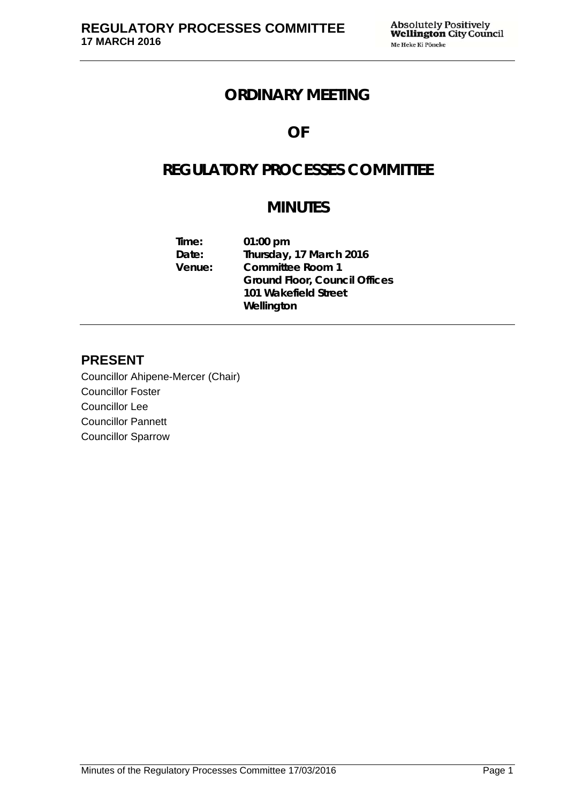## **ORDINARY MEETING**

## **OF**

# **REGULATORY PROCESSES COMMITTEE**

# **MINUTES**

| $01:00$ pm                           |
|--------------------------------------|
| Thursday, 17 March 2016              |
| <b>Committee Room 1</b>              |
| <b>Ground Floor, Council Offices</b> |
| 101 Wakefield Street                 |
| Wellington                           |
|                                      |

## **PRESENT**

Councillor Ahipene-Mercer (Chair) Councillor Foster Councillor Lee Councillor Pannett Councillor Sparrow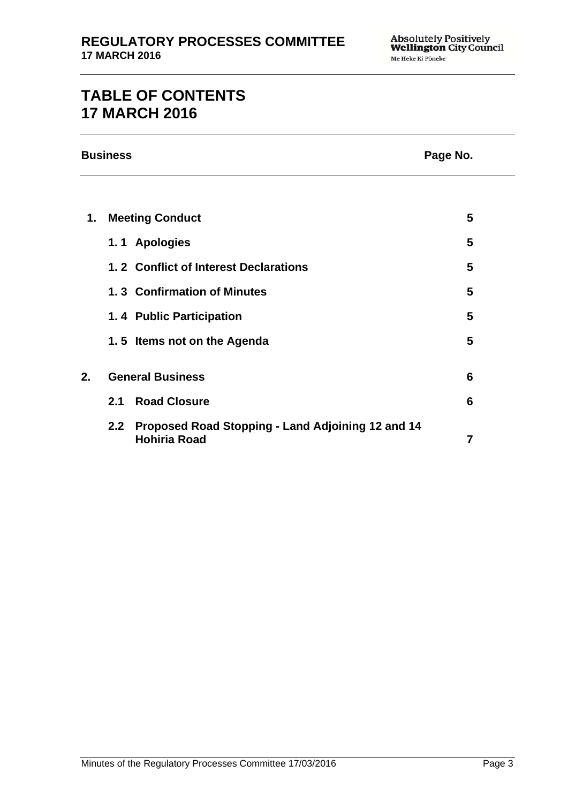# **TABLE OF CONTENTS 17 MARCH 2016**

|    | <b>Business</b><br>Page No. |                                                                          |                |  |
|----|-----------------------------|--------------------------------------------------------------------------|----------------|--|
|    |                             |                                                                          |                |  |
| 1. |                             | <b>Meeting Conduct</b>                                                   | 5              |  |
|    |                             | 1.1 Apologies                                                            | 5              |  |
|    |                             | 1.2 Conflict of Interest Declarations                                    | 5              |  |
|    |                             | 1.3 Confirmation of Minutes                                              | 5              |  |
|    |                             | 1.4 Public Participation                                                 | 5              |  |
|    |                             | 1.5 Items not on the Agenda                                              | 5              |  |
| 2. | <b>General Business</b>     |                                                                          | 6              |  |
|    | 2.1                         | <b>Road Closure</b>                                                      | 6              |  |
|    | 2.2                         | Proposed Road Stopping - Land Adjoining 12 and 14<br><b>Hohiria Road</b> | $\overline{7}$ |  |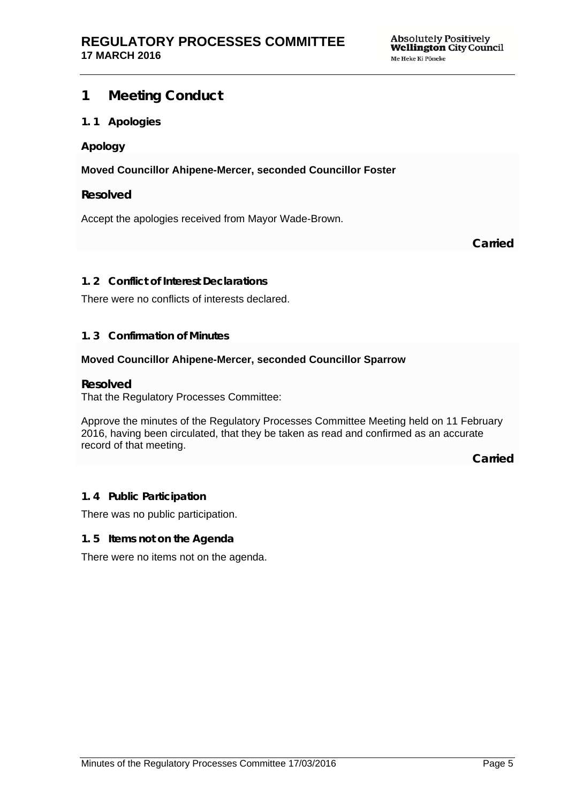### **1 Meeting Conduct**

#### **1. 1 Apologies**

#### **Apology**

**Moved Councillor Ahipene-Mercer, seconded Councillor Foster** 

#### **Resolved**

Accept the apologies received from Mayor Wade-Brown.

**Carried**

#### **1. 2 Conflict of Interest Declarations**

There were no conflicts of interests declared.

#### **1. 3 Confirmation of Minutes**

#### **Moved Councillor Ahipene-Mercer, seconded Councillor Sparrow**

#### **Resolved**

That the Regulatory Processes Committee:

Approve the minutes of the Regulatory Processes Committee Meeting held on 11 February 2016, having been circulated, that they be taken as read and confirmed as an accurate record of that meeting.

**Carried**

### **1. 4 Public Participation**

There was no public participation.

#### **1. 5 Items not on the Agenda**

There were no items not on the agenda.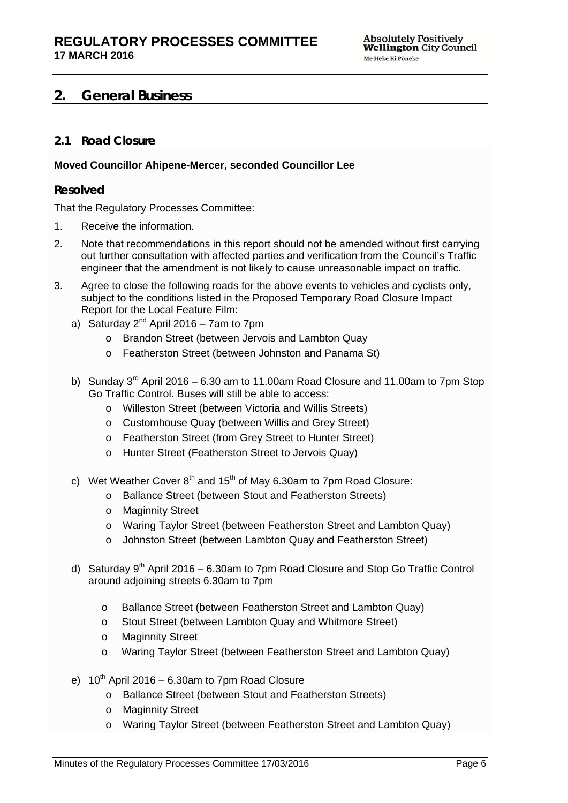### **2. General Business**

### **2.1 Road Closure**

#### **Moved Councillor Ahipene-Mercer, seconded Councillor Lee**

#### **Resolved**

That the Regulatory Processes Committee:

- 1. Receive the information.
- 2. Note that recommendations in this report should not be amended without first carrying out further consultation with affected parties and verification from the Council's Traffic engineer that the amendment is not likely to cause unreasonable impact on traffic.
- 3. Agree to close the following roads for the above events to vehicles and cyclists only, subject to the conditions listed in the Proposed Temporary Road Closure Impact Report for the Local Feature Film:
	- a) Saturday  $2^{nd}$  April 2016 7am to 7pm
		- o Brandon Street (between Jervois and Lambton Quay
		- o Featherston Street (between Johnston and Panama St)
	- b) Sunday  $3^{rd}$  April 2016 6.30 am to 11.00am Road Closure and 11.00am to 7pm Stop Go Traffic Control. Buses will still be able to access:
		- o Willeston Street (between Victoria and Willis Streets)
		- o Customhouse Quay (between Willis and Grey Street)
		- o Featherston Street (from Grey Street to Hunter Street)
		- o Hunter Street (Featherston Street to Jervois Quay)
	- c) Wet Weather Cover  $8<sup>th</sup>$  and  $15<sup>th</sup>$  of May 6.30am to 7pm Road Closure:
		- o Ballance Street (between Stout and Featherston Streets)
		- o Maginnity Street
		- o Waring Taylor Street (between Featherston Street and Lambton Quay)
		- o Johnston Street (between Lambton Quay and Featherston Street)
	- d) Saturday  $9<sup>th</sup>$  April 2016 6.30am to 7pm Road Closure and Stop Go Traffic Control around adjoining streets 6.30am to 7pm
		- o Ballance Street (between Featherston Street and Lambton Quay)
		- o Stout Street (between Lambton Quay and Whitmore Street)
		- o Maginnity Street
		- o Waring Taylor Street (between Featherston Street and Lambton Quay)
	- e)  $10^{th}$  April 2016 6.30am to 7pm Road Closure
		- o Ballance Street (between Stout and Featherston Streets)
		- o Maginnity Street
		- o Waring Taylor Street (between Featherston Street and Lambton Quay)